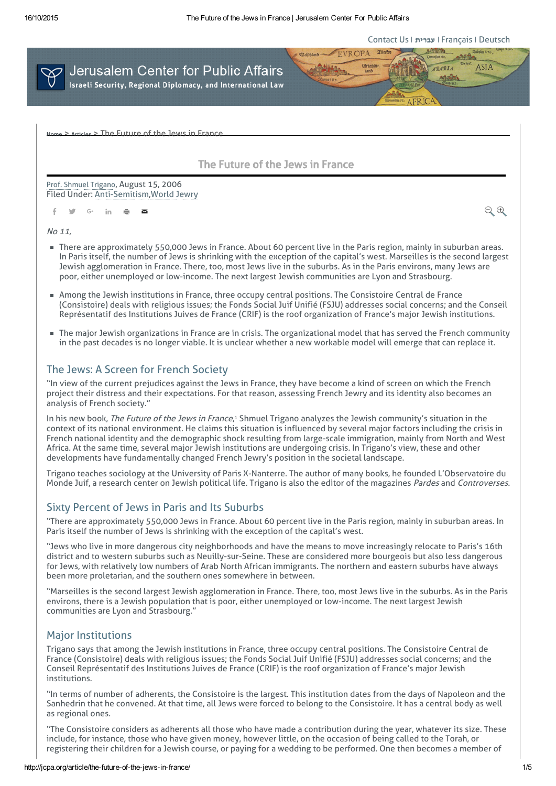[Contact](http://jcpa.org/contact-us/) Us [עברית](http://www.jcpa.org.il/) [Français](http://www.jcpa-lecape.org/) [Deutsch](http://www.jer-zentrum.org/)

 $\Theta$ 



The Future of the Jews in France

The Future of the Jews in France

Filed Under: [Anti-Semitism](http://jcpa.org/main-issues/anti-semitism/)[,World](http://jcpa.org/main-issues/world-jewry/) Jewry Prof. Shmuel [Trigano](http://jcpa.org/researcher/prof-shmuel-trigano/), August 15, 2006

f y G in  $\bar{m}$   $\approx$ 

No 11,

- There are approximately 550,000 Jews in France. About 60 percent live in the Paris region, mainly in suburban areas. In Paris itself, the number of Jews is shrinking with the exception of the capital's west. Marseilles is the second largest Jewish agglomeration in France. There, too, most Jews live in the suburbs. As in the Paris environs, many Jews are poor, either unemployed or low-income. The next largest Jewish communities are Lyon and Strasbourg.
- Among the Jewish institutions in France, three occupy central positions. The Consistoire Central de France (Consistoire) deals with religious issues; the Fonds Social Juif Unifié (FSJU) addresses social concerns; and the Conseil Représentatif des Institutions Juives de France (CRIF) is the roof organization of France's major Jewish institutions.
- The major Jewish organizations in France are in crisis. The organizational model that has served the French community in the past decades is no longer viable. It is unclear whether a new workable model will emerge that can replace it.

# The Jews: A Screen for French Society

"In view of the current prejudices against the Jews in France, they have become a kind of screen on which the French project their distress and their expectations. For that reason, assessing French Jewry and its identity also becomes an analysis of French society."

In his new book, *The Future of the Jews in France*,<sup>1</sup> Shmuel Trigano analyzes the Jewish community's situation in the context of its national environment. He claims this situation is influenced by several major factors including the crisis in French national identity and the demographic shock resulting from large-scale immigration, mainly from North and West Africa. At the same time, several major Jewish institutions are undergoing crisis. In Trigano's view, these and other developments have fundamentally changed French Jewry's position in the societal landscape.

Trigano teaches sociology at the University of Paris X-Nanterre. The author of many books, he founded L'Observatoire du Monde Juif, a research center on Jewish political life. Trigano is also the editor of the magazines Pardes and Controverses.

### Sixty Percent of Jews in Paris and Its Suburbs

"There are approximately 550,000 Jews in France. About 60 percent live in the Paris region, mainly in suburban areas. In Paris itself the number of Jews is shrinking with the exception of the capital's west.

"Jews who live in more dangerous city neighborhoods and have the means to move increasingly relocate to Paris's 16th district and to western suburbs such as Neuilly-sur-Seine. These are considered more bourgeois but also less dangerous for Jews, with relatively low numbers of Arab North African immigrants. The northern and eastern suburbs have always been more proletarian, and the southern ones somewhere in between.

"Marseilles is the second largest Jewish agglomeration in France. There, too, most Jews live in the suburbs. As in the Paris environs, there is a Jewish population that is poor, either unemployed or low-income. The next largest Jewish communities are Lyon and Strasbourg."

### Major Institutions

Trigano says that among the Jewish institutions in France, three occupy central positions. The Consistoire Central de France (Consistoire) deals with religious issues; the Fonds Social Juif Unifié (FSJU) addresses social concerns; and the Conseil Représentatif des Institutions Juives de France (CRIF) is the roof organization of France's major Jewish institutions.

"In terms of number of adherents, the Consistoire is the largest. This institution dates from the days of Napoleon and the Sanhedrin that he convened. At that time, all Jews were forced to belong to the Consistoire. It has a central body as well as regional ones.

"The Consistoire considers as adherents all those who have made a contribution during the year, whatever its size. These include, for instance, those who have given money, however little, on the occasion of being called to the Torah, or registering their children for a Jewish course, or paying for a wedding to be performed. One then becomes a member of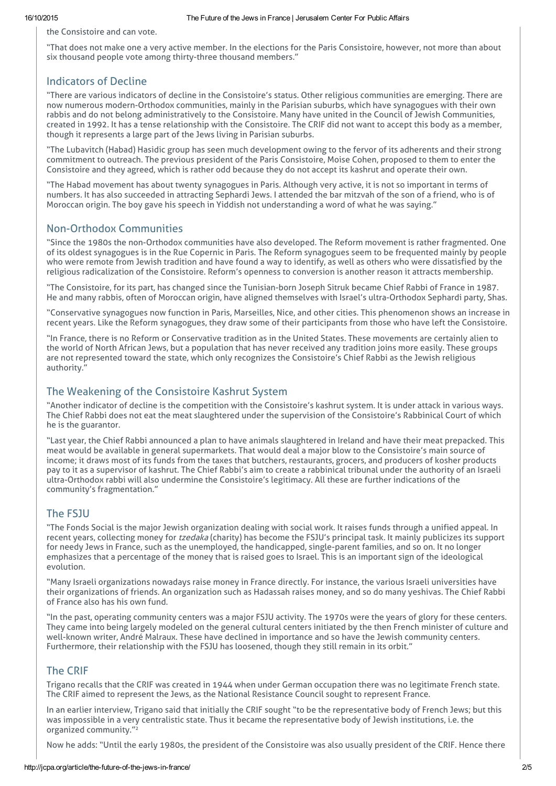the Consistoire and can vote.

"That does not make one a very active member. In the elections for the Paris Consistoire, however, not more than about six thousand people vote among thirty-three thousand members."

### Indicators of Decline

"There are various indicators of decline in the Consistoire's status. Other religious communities are emerging. There are now numerous modern-Orthodox communities, mainly in the Parisian suburbs, which have synagogues with their own rabbis and do not belong administratively to the Consistoire. Many have united in the Council of Jewish Communities, created in 1992. It has a tense relationship with the Consistoire. The CRIF did not want to accept this body as a member, though it represents a large part of the Jews living in Parisian suburbs.

"The Lubavitch (Habad) Hasidic group has seen much development owing to the fervor of its adherents and their strong commitment to outreach. The previous president of the Paris Consistoire, Moise Cohen, proposed to them to enter the Consistoire and they agreed, which is rather odd because they do not accept its kashrut and operate their own.

"The Habad movement has about twenty synagogues in Paris. Although very active, it is not so important in terms of numbers. It has also succeeded in attracting Sephardi Jews. I attended the bar mitzvah of the son of a friend, who is of Moroccan origin. The boy gave his speech in Yiddish not understanding a word of what he was saying."

# Non-Orthodox Communities

"Since the 1980s the non-Orthodox communities have also developed. The Reform movement is rather fragmented. One of its oldest synagogues is in the Rue Copernic in Paris. The Reform synagogues seem to be frequented mainly by people who were remote from Jewish tradition and have found a way to identify, as well as others who were dissatisfied by the religious radicalization of the Consistoire. Reform's openness to conversion is another reason it attracts membership.

"The Consistoire, for its part, has changed since the Tunisian-born Joseph Sitruk became Chief Rabbi of France in 1987. He and many rabbis, often of Moroccan origin, have aligned themselves with Israel's ultra-Orthodox Sephardi party, Shas.

"Conservative synagogues now function in Paris, Marseilles, Nice, and other cities. This phenomenon shows an increase in recent years. Like the Reform synagogues, they draw some of their participants from those who have left the Consistoire.

"In France, there is no Reform or Conservative tradition as in the United States. These movements are certainly alien to the world of North African Jews, but a population that has never received any tradition joins more easily. These groups are not represented toward the state, which only recognizes the Consistoire's Chief Rabbi as the Jewish religious authority.'

#### The Weakening of the Consistoire Kashrut System

"Another indicator of decline is the competition with the Consistoire's kashrut system. It is under attack in various ways. The Chief Rabbi does not eat the meat slaughtered under the supervision of the Consistoire's Rabbinical Court of which he is the guarantor.

"Last year, the Chief Rabbi announced a plan to have animals slaughtered in Ireland and have their meat prepacked. This meat would be available in general supermarkets. That would deal a major blow to the Consistoire's main source of income; it draws most of its funds from the taxes that butchers, restaurants, grocers, and producers of kosher products pay to it as a supervisor of kashrut. The Chief Rabbi's aim to create a rabbinical tribunal under the authority of an Israeli ultra-Orthodox rabbi will also undermine the Consistoire's legitimacy. All these are further indications of the community's fragmentation."

# The FSJU

"The Fonds Social is the major Jewish organization dealing with social work. It raises funds through a unified appeal. In recent years, collecting money for tzedaka (charity) has become the FSJU's principal task. It mainly publicizes its support for needy Jews in France, such as the unemployed, the handicapped, single-parent families, and so on. It no longer emphasizes that a percentage of the money that is raised goes to Israel. This is an important sign of the ideological evolution.

"Many Israeli organizations nowadays raise money in France directly. For instance, the various Israeli universities have their organizations of friends. An organization such as Hadassah raises money, and so do many yeshivas. The Chief Rabbi of France also has his own fund.

"In the past, operating community centers was a major FSJU activity. The 1970s were the years of glory for these centers. They came into being largely modeled on the general cultural centers initiated by the then French minister of culture and well-known writer, André Malraux. These have declined in importance and so have the Jewish community centers. Furthermore, their relationship with the FSJU has loosened, though they still remain in its orbit."

### The CRIF

Trigano recalls that the CRIF was created in 1944 when under German occupation there was no legitimate French state. The CRIF aimed to represent the Jews, as the National Resistance Council sought to represent France.

In an earlier interview, Trigano said that initially the CRIF sought "to be the representative body of French Jews; but this was impossible in a very centralistic state. Thus it became the representative body of Jewish institutions, i.e. the organized community." 2

Now he adds: "Until the early 1980s, the president of the Consistoire was also usually president of the CRIF. Hence there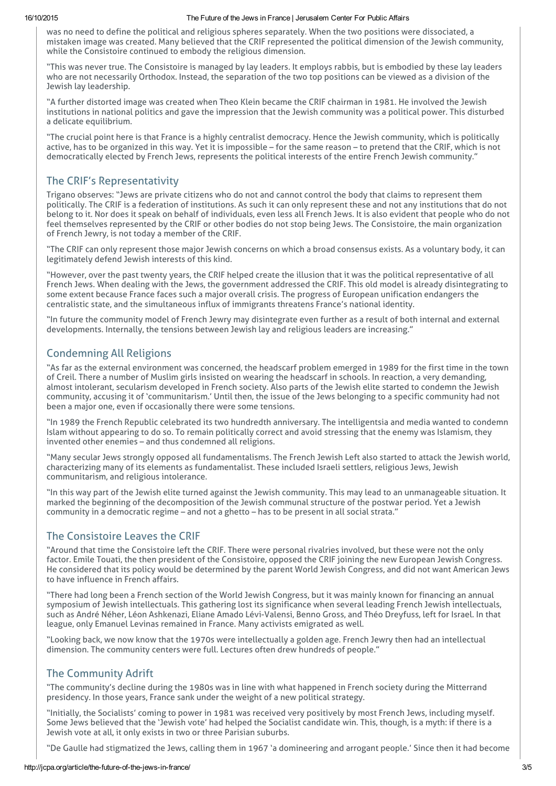#### 16/10/2015 The Future of the Jews in France | Jerusalem Center For Public Affairs

was no need to define the political and religious spheres separately. When the two positions were dissociated, a mistaken image was created. Many believed that the CRIF represented the political dimension of the Jewish community, while the Consistoire continued to embody the religious dimension.

"This was never true. The Consistoire is managed by lay leaders. It employs rabbis, but is embodied by these lay leaders who are not necessarily Orthodox. Instead, the separation of the two top positions can be viewed as a division of the Jewish lay leadership.

"A further distorted image was created when Theo Klein became the CRIF chairman in 1981. He involved the Jewish institutions in national politics and gave the impression that the Jewish community was a political power. This disturbed a delicate equilibrium.

"The crucial point here is that France is a highly centralist democracy. Hence the Jewish community, which is politically active, has to be organized in this way. Yet it is impossible – for the same reason – to pretend that the CRIF, which is not democratically elected by French Jews, represents the political interests of the entire French Jewish community."

# The CRIF's Representativity

Trigano observes: "Jews are private citizens who do not and cannot control the body that claims to represent them politically. The CRIF is a federation of institutions. As such it can only represent these and not any institutions that do not belong to it. Nor does it speak on behalf of individuals, even less all French Jews. It is also evident that people who do not feel themselves represented by the CRIF or other bodies do not stop being Jews. The Consistoire, the main organization of French Jewry, is not today a member of the CRIF.

"The CRIF can only represent those major Jewish concerns on which a broad consensus exists. As a voluntary body, it can legitimately defend Jewish interests of this kind.

"However, over the past twenty years, the CRIF helped create the illusion that it was the political representative of all French Jews. When dealing with the Jews, the government addressed the CRIF. This old model is already disintegrating to some extent because France faces such a major overall crisis. The progress of European unification endangers the centralistic state, and the simultaneous influx of immigrants threatens France's national identity.

"In future the community model of French Jewry may disintegrate even further as a result of both internal and external developments. Internally, the tensions between Jewish lay and religious leaders are increasing."

# Condemning All Religions

"As far as the external environment was concerned, the headscarf problem emerged in 1989 for the first time in the town of Creil. There a number of Muslim girls insisted on wearing the headscarf in schools. In reaction, a very demanding, almost intolerant, secularism developed in French society. Also parts of the Jewish elite started to condemn the Jewish community, accusing it of 'communitarism.' Until then, the issue of the Jews belonging to a specific community had not been a major one, even if occasionally there were some tensions.

"In 1989 the French Republic celebrated its two hundredth anniversary. The intelligentsia and media wanted to condemn Islam without appearing to do so. To remain politically correct and avoid stressing that the enemy was Islamism, they invented other enemies – and thus condemned all religions.

"Many secular Jews strongly opposed all fundamentalisms. The French Jewish Left also started to attack the Jewish world, characterizing many of its elements as fundamentalist. These included Israeli settlers, religious Jews, Jewish communitarism, and religious intolerance.

"In this way part of the Jewish elite turned against the Jewish community. This may lead to an unmanageable situation. It marked the beginning of the decomposition of the Jewish communal structure of the postwar period. Yet a Jewish community in a democratic regime – and not a ghetto – has to be present in all social strata."

# The Consistoire Leaves the CRIF

"Around that time the Consistoire left the CRIF. There were personal rivalries involved, but these were not the only factor. Emile Touati, the then president of the Consistoire, opposed the CRIF joining the new European Jewish Congress. He considered that its policy would be determined by the parent World Jewish Congress, and did not want American Jews to have influence in French affairs.

"There had long been a French section of the World Jewish Congress, but it was mainly known for financing an annual symposium of Jewish intellectuals. This gathering lost its significance when several leading French Jewish intellectuals, such as André Néher, Léon Ashkenazi, Eliane Amado Lévi-Valensi, Benno Gross, and Théo Dreyfuss, left for Israel. In that league, only Emanuel Levinas remained in France. Many activists emigrated as well.

"Looking back, we now know that the 1970s were intellectually a golden age. French Jewry then had an intellectual dimension. The community centers were full. Lectures often drew hundreds of people."

# The Community Adrift

"The community's decline during the 1980s was in line with what happened in French society during the Mitterrand presidency. In those years, France sank under the weight of a new political strategy.

"Initially, the Socialists' coming to power in 1981 was received very positively by most French Jews, including myself. Some Jews believed that the 'Jewish vote' had helped the Socialist candidate win. This, though, is a myth: if there is a Jewish vote at all, it only exists in two or three Parisian suburbs.

"De Gaulle had stigmatized the Jews, calling them in 1967 'a domineering and arrogant people.' Since then it had become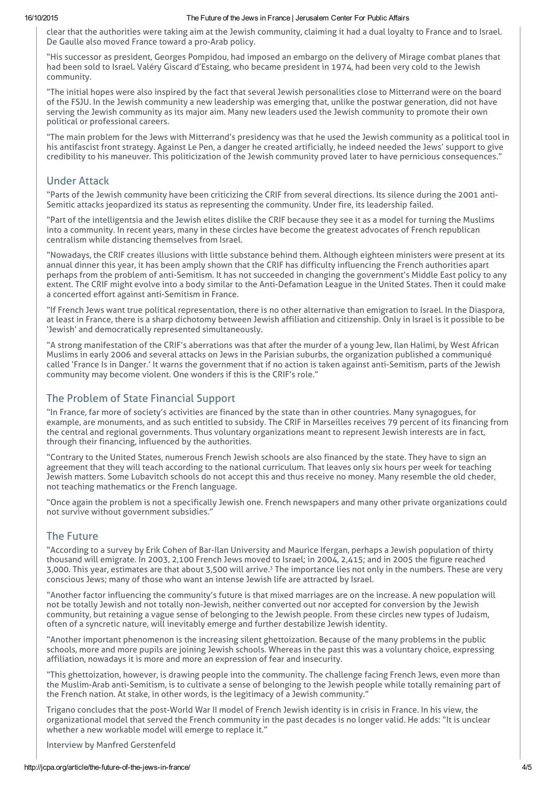#### 16/10/2015 The Future of the Jews in France | Jerusalem Center For Public Affairs

clear that the authorities were taking aim at the Jewish community, claiming it had a dual loyalty to France and to Israel. De Gaulle also moved France toward a pro-Arab policy.

"His successor as president, Georges Pompidou, had imposed an embargo on the delivery of Mirage combat planes that had been sold to Israel. Valéry Giscard d'Estaing, who became president in 1974, had been very cold to the Jewish community.

"The initial hopes were also inspired by the fact that several Jewish personalities close to Mitterrand were on the board of the FSJU. In the Jewish community a new leadership was emerging that, unlike the postwar generation, did not have serving the Jewish community as its major aim. Many new leaders used the Jewish community to promote their own political or professional careers.

"The main problem for the Jews with Mitterrand's presidency was that he used the Jewish community as a political tool in his antifascist front strategy. Against Le Pen, a danger he created artificially, he indeed needed the Jews' support to give credibility to his maneuver. This politicization of the Jewish community proved later to have pernicious consequences."

### Under Attack

"Parts of the Jewish community have been criticizing the CRIF from several directions. Its silence during the 2001 anti-Semitic attacks jeopardized its status as representing the community. Under fire, its leadership failed.

"Part of the intelligentsia and the Jewish elites dislike the CRIF because they see it as a model for turning the Muslims into a community. In recent years, many in these circles have become the greatest advocates of French republican centralism while distancing themselves from Israel.

"Nowadays, the CRIF creates illusions with little substance behind them. Although eighteen ministers were present at its annual dinner this year, it has been amply shown that the CRIF has difficulty influencing the French authorities apart perhaps from the problem of anti-Semitism. It has not succeeded in changing the government's Middle East policy to any extent. The CRIF might evolve into a body similar to the Anti-Defamation League in the United States. Then it could make a concerted effort against anti-Semitism in France.

"If French Jews want true political representation, there is no other alternative than emigration to Israel. In the Diaspora, at least in France, there is a sharp dichotomy between Jewish affiliation and citizenship. Only in Israel is it possible to be 'Jewish' and democratically represented simultaneously.

"A strong manifestation of the CRIF's aberrations was that after the murder of a young Jew, Ilan Halimi, by West African Muslims in early 2006 and several attacks on Jews in the Parisian suburbs, the organization published a communiqué called 'France Is in Danger.' It warns the government that if no action is taken against anti-Semitism, parts of the Jewish community may become violent. One wonders if this is the CRIF's role."

# The Problem of State Financial Support

"In France, far more of society's activities are financed by the state than in other countries. Many synagogues, for example, are monuments, and as such entitled to subsidy. The CRIF in Marseilles receives 79 percent of its financing from the central and regional governments. Thus voluntary organizations meant to represent Jewish interests are in fact, through their financing, influenced by the authorities.

"Contrary to the United States, numerous French Jewish schools are also financed by the state. They have to sign an agreement that they will teach according to the national curriculum. That leaves only six hours per week for teaching Jewish matters. Some Lubavitch schools do not accept this and thus receive no money. Many resemble the old cheder, not teaching mathematics or the French language.

"Once again the problem is not a specifically Jewish one. French newspapers and many other private organizations could not survive without government subsidies."

### The Future

"According to a survey by Erik Cohen of Bar-Ilan University and Maurice Ifergan, perhaps a Jewish population of thirty thousand will emigrate. In 2003, 2,100 French Jews moved to Israel; in 2004, 2,415; and in 2005 the figure reached 3,000. This year, estimates are that about 3,500 will arrive.<sup>3</sup> The importance lies not only in the numbers. These are very conscious Jews; many of those who want an intense Jewish life are attracted by Israel.

"Another factor influencing the community's future is that mixed marriages are on the increase. A new population will not be totally Jewish and not totally non-Jewish, neither converted out nor accepted for conversion by the Jewish community, but retaining a vague sense of belonging to the Jewish people. From these circles new types of Judaism, often of a syncretic nature, will inevitably emerge and further destabilize Jewish identity.

"Another important phenomenon is the increasing silent ghettoization. Because of the many problems in the public schools, more and more pupils are joining Jewish schools. Whereas in the past this was a voluntary choice, expressing affiliation, nowadays it is more and more an expression of fear and insecurity.

"This ghettoization, however, is drawing people into the community. The challenge facing French Jews, even more than the Muslim-Arab anti-Semitism, is to cultivate a sense of belonging to the Jewish people while totally remaining part of the French nation. At stake, in other words, is the legitimacy of a Jewish community."

Trigano concludes that the post-World War II model of French Jewish identity is in crisis in France. In his view, the organizational model that served the French community in the past decades is no longer valid. He adds: "It is unclear whether a new workable model will emerge to replace it."

Interview by Manfred Gerstenfeld